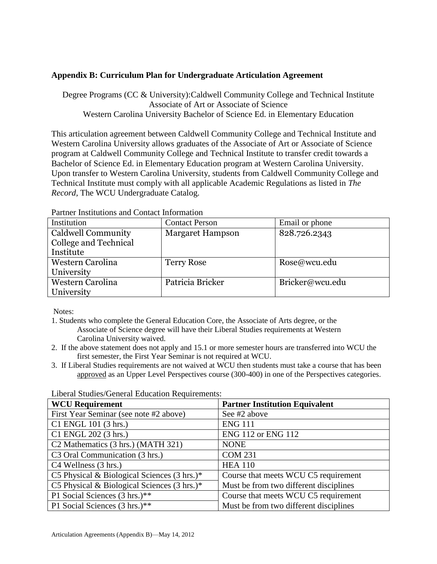## **Appendix B: Curriculum Plan for Undergraduate Articulation Agreement**

Degree Programs (CC & University):Caldwell Community College and Technical Institute Associate of Art or Associate of Science Western Carolina University Bachelor of Science Ed. in Elementary Education

This articulation agreement between Caldwell Community College and Technical Institute and Western Carolina University allows graduates of the Associate of Art or Associate of Science program at Caldwell Community College and Technical Institute to transfer credit towards a Bachelor of Science Ed. in Elementary Education program at Western Carolina University. Upon transfer to Western Carolina University, students from Caldwell Community College and Technical Institute must comply with all applicable Academic Regulations as listed in *The Record,* The WCU Undergraduate Catalog.

| тания тышашыны ана сонтаст пиониацоп |                         |                 |
|--------------------------------------|-------------------------|-----------------|
| Institution                          | <b>Contact Person</b>   | Email or phone  |
| Caldwell Community                   | <b>Margaret Hampson</b> | 828.726.2343    |
| College and Technical                |                         |                 |
| Institute                            |                         |                 |
| Western Carolina                     | <b>Terry Rose</b>       | Rose@wcu.edu    |
| University                           |                         |                 |
| Western Carolina                     | Patricia Bricker        | Bricker@wcu.edu |
| <b>University</b>                    |                         |                 |

Partner Institutions and Contact Information

Notes:

- 1. Students who complete the General Education Core, the Associate of Arts degree, or the Associate of Science degree will have their Liberal Studies requirements at Western Carolina University waived.
- 2. If the above statement does not apply and 15.1 or more semester hours are transferred into WCU the first semester, the First Year Seminar is not required at WCU.
- 3. If Liberal Studies requirements are not waived at WCU then students must take a course that has been approved as an Upper Level Perspectives course (300-400) in one of the Perspectives categories.

| <b>WCU Requirement</b>                                 | <b>Partner Institution Equivalent</b>  |
|--------------------------------------------------------|----------------------------------------|
| First Year Seminar (see note #2 above)                 | See #2 above                           |
| C1 ENGL 101 (3 hrs.)                                   | <b>ENG 111</b>                         |
| C1 ENGL 202 (3 hrs.)                                   | <b>ENG 112 or ENG 112</b>              |
| C <sub>2</sub> Mathematics (3 hrs.) (MATH 321)         | <b>NONE</b>                            |
| C <sub>3</sub> Oral Communication (3 hrs.)             | <b>COM 231</b>                         |
| C4 Wellness (3 hrs.)                                   | <b>HEA 110</b>                         |
| C5 Physical & Biological Sciences $(3 \text{ hrs.})^*$ | Course that meets WCU C5 requirement   |
| C5 Physical & Biological Sciences $(3 \text{ hrs.})^*$ | Must be from two different disciplines |
| P1 Social Sciences (3 hrs.)**                          | Course that meets WCU C5 requirement   |
| P1 Social Sciences (3 hrs.)**                          | Must be from two different disciplines |

Liberal Studies/General Education Requirements: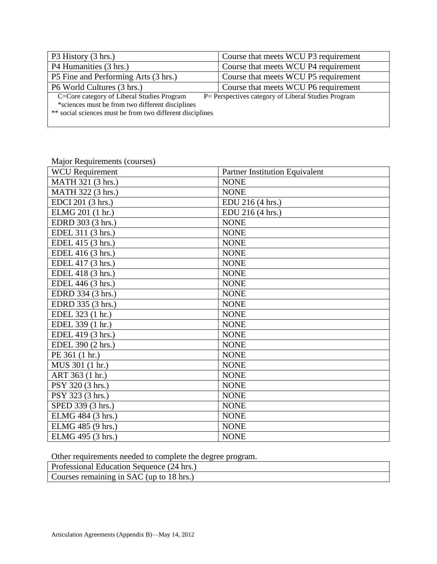| P3 History (3 hrs.)                                                                                                                                         | Course that meets WCU P3 requirement                 |
|-------------------------------------------------------------------------------------------------------------------------------------------------------------|------------------------------------------------------|
| P4 Humanities (3 hrs.)                                                                                                                                      | Course that meets WCU P4 requirement                 |
| P5 Fine and Performing Arts (3 hrs.)                                                                                                                        | Course that meets WCU P5 requirement                 |
| P6 World Cultures (3 hrs.)                                                                                                                                  | Course that meets WCU P6 requirement                 |
| C=Core category of Liberal Studies Program<br>*sciences must be from two different disciplines<br>** social sciences must be from two different disciplines | P = Perspectives category of Liberal Studies Program |

| <b>WCU</b> Requirement | <b>Partner Institution Equivalent</b> |
|------------------------|---------------------------------------|
| MATH 321 (3 hrs.)      | <b>NONE</b>                           |
| MATH 322 (3 hrs.)      | <b>NONE</b>                           |
| EDCI 201 (3 hrs.)      | EDU 216 (4 hrs.)                      |
| ELMG 201 (1 hr.)       | EDU 216 (4 hrs.)                      |
| EDRD 303 (3 hrs.)      | <b>NONE</b>                           |
| EDEL 311 (3 hrs.)      | <b>NONE</b>                           |
| EDEL 415 (3 hrs.)      | <b>NONE</b>                           |
| EDEL 416 (3 hrs.)      | <b>NONE</b>                           |
| EDEL 417 (3 hrs.)      | <b>NONE</b>                           |
| EDEL 418 (3 hrs.)      | <b>NONE</b>                           |
| EDEL 446 (3 hrs.)      | <b>NONE</b>                           |
| EDRD 334 (3 hrs.)      | <b>NONE</b>                           |
| EDRD 335 (3 hrs.)      | <b>NONE</b>                           |
| EDEL 323 (1 hr.)       | <b>NONE</b>                           |
| EDEL 339 (1 hr.)       | <b>NONE</b>                           |
| EDEL 419 (3 hrs.)      | <b>NONE</b>                           |
| EDEL 390 (2 hrs.)      | <b>NONE</b>                           |
| PE 361 (1 hr.)         | <b>NONE</b>                           |
| MUS 301 (1 hr.)        | <b>NONE</b>                           |
| ART 363 (1 hr.)        | <b>NONE</b>                           |
| PSY 320 (3 hrs.)       | <b>NONE</b>                           |
| PSY 323 (3 hrs.)       | <b>NONE</b>                           |
| SPED 339 (3 hrs.)      | <b>NONE</b>                           |
| ELMG 484 (3 hrs.)      | <b>NONE</b>                           |
| ELMG 485 (9 hrs.)      | <b>NONE</b>                           |
| ELMG 495 (3 hrs.)      | <b>NONE</b>                           |

Major Requirements (courses)

Other requirements needed to complete the degree program.

| Professional Education Sequence (24 hrs.) |  |
|-------------------------------------------|--|
| Courses remaining in SAC (up to 18 hrs.)  |  |